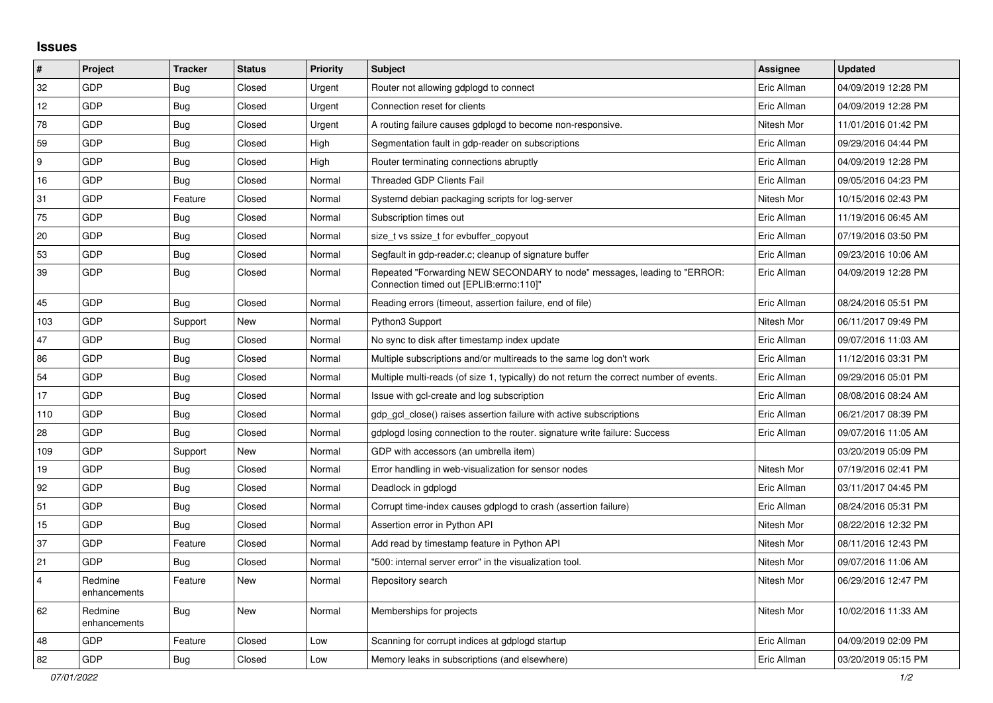## **Issues**

| $\vert$ #      | Project                 | <b>Tracker</b> | <b>Status</b> | Priority | Subject                                                                                                             | <b>Assignee</b> | <b>Updated</b>      |
|----------------|-------------------------|----------------|---------------|----------|---------------------------------------------------------------------------------------------------------------------|-----------------|---------------------|
| 32             | GDP                     | Bug            | Closed        | Urgent   | Router not allowing gdplogd to connect                                                                              | Eric Allman     | 04/09/2019 12:28 PM |
| 12             | GDP                     | <b>Bug</b>     | Closed        | Urgent   | Connection reset for clients                                                                                        | Eric Allman     | 04/09/2019 12:28 PM |
| 78             | GDP                     | Bug            | Closed        | Urgent   | A routing failure causes gdplogd to become non-responsive.                                                          | Nitesh Mor      | 11/01/2016 01:42 PM |
| 59             | GDP                     | <b>Bug</b>     | Closed        | High     | Segmentation fault in gdp-reader on subscriptions                                                                   | Eric Allman     | 09/29/2016 04:44 PM |
| 9              | GDP                     | Bug            | Closed        | High     | Router terminating connections abruptly                                                                             | Eric Allman     | 04/09/2019 12:28 PM |
| 16             | GDP                     | Bug            | Closed        | Normal   | <b>Threaded GDP Clients Fail</b>                                                                                    | Eric Allman     | 09/05/2016 04:23 PM |
| 31             | GDP                     | Feature        | Closed        | Normal   | Systemd debian packaging scripts for log-server                                                                     | Nitesh Mor      | 10/15/2016 02:43 PM |
| 75             | GDP                     | Bug            | Closed        | Normal   | Subscription times out                                                                                              | Eric Allman     | 11/19/2016 06:45 AM |
| 20             | GDP                     | <b>Bug</b>     | Closed        | Normal   | size_t vs ssize_t for evbuffer_copyout                                                                              | Eric Allman     | 07/19/2016 03:50 PM |
| 53             | GDP                     | Bug            | Closed        | Normal   | Segfault in gdp-reader.c; cleanup of signature buffer                                                               | Eric Allman     | 09/23/2016 10:06 AM |
| 39             | <b>GDP</b>              | Bug            | Closed        | Normal   | Repeated "Forwarding NEW SECONDARY to node" messages, leading to "ERROR:<br>"Connection timed out [EPLIB:errno:110] | Eric Allman     | 04/09/2019 12:28 PM |
| 45             | GDP                     | <b>Bug</b>     | Closed        | Normal   | Reading errors (timeout, assertion failure, end of file)                                                            | Eric Allman     | 08/24/2016 05:51 PM |
| 103            | GDP                     | Support        | New           | Normal   | Python3 Support                                                                                                     | Nitesh Mor      | 06/11/2017 09:49 PM |
| 47             | GDP                     | Bug            | Closed        | Normal   | No sync to disk after timestamp index update                                                                        | Eric Allman     | 09/07/2016 11:03 AM |
| 86             | GDP                     | Bug            | Closed        | Normal   | Multiple subscriptions and/or multireads to the same log don't work                                                 | Eric Allman     | 11/12/2016 03:31 PM |
| 54             | GDP                     | Bug            | Closed        | Normal   | Multiple multi-reads (of size 1, typically) do not return the correct number of events.                             | Eric Allman     | 09/29/2016 05:01 PM |
| 17             | GDP                     | <b>Bug</b>     | Closed        | Normal   | Issue with gcl-create and log subscription                                                                          | Eric Allman     | 08/08/2016 08:24 AM |
| 110            | GDP                     | Bug            | Closed        | Normal   | gdp gcl close() raises assertion failure with active subscriptions                                                  | Eric Allman     | 06/21/2017 08:39 PM |
| 28             | GDP                     | Bug            | Closed        | Normal   | gdplogd losing connection to the router, signature write failure: Success                                           | Eric Allman     | 09/07/2016 11:05 AM |
| 109            | GDP                     | Support        | New           | Normal   | GDP with accessors (an umbrella item)                                                                               |                 | 03/20/2019 05:09 PM |
| 19             | GDP                     | <b>Bug</b>     | Closed        | Normal   | Error handling in web-visualization for sensor nodes                                                                | Nitesh Mor      | 07/19/2016 02:41 PM |
| 92             | GDP                     | <b>Bug</b>     | Closed        | Normal   | Deadlock in gdplogd                                                                                                 | Eric Allman     | 03/11/2017 04:45 PM |
| 51             | GDP                     | Bug            | Closed        | Normal   | Corrupt time-index causes gdplogd to crash (assertion failure)                                                      | Eric Allman     | 08/24/2016 05:31 PM |
| 15             | GDP                     | Bug            | Closed        | Normal   | Assertion error in Python API                                                                                       | Nitesh Mor      | 08/22/2016 12:32 PM |
| 37             | GDP                     | Feature        | Closed        | Normal   | Add read by timestamp feature in Python API                                                                         | Nitesh Mor      | 08/11/2016 12:43 PM |
| 21             | GDP                     | <b>Bug</b>     | Closed        | Normal   | "500: internal server error" in the visualization tool.                                                             | Nitesh Mor      | 09/07/2016 11:06 AM |
| $\overline{4}$ | Redmine<br>enhancements | Feature        | New           | Normal   | Repository search                                                                                                   | Nitesh Mor      | 06/29/2016 12:47 PM |
| 62             | Redmine<br>enhancements | <b>Bug</b>     | New           | Normal   | Memberships for projects                                                                                            | Nitesh Mor      | 10/02/2016 11:33 AM |
| 48             | GDP                     | Feature        | Closed        | Low      | Scanning for corrupt indices at gdplogd startup                                                                     | Eric Allman     | 04/09/2019 02:09 PM |
| 82             | GDP                     | Bug            | Closed        | Low      | Memory leaks in subscriptions (and elsewhere)                                                                       | Eric Allman     | 03/20/2019 05:15 PM |